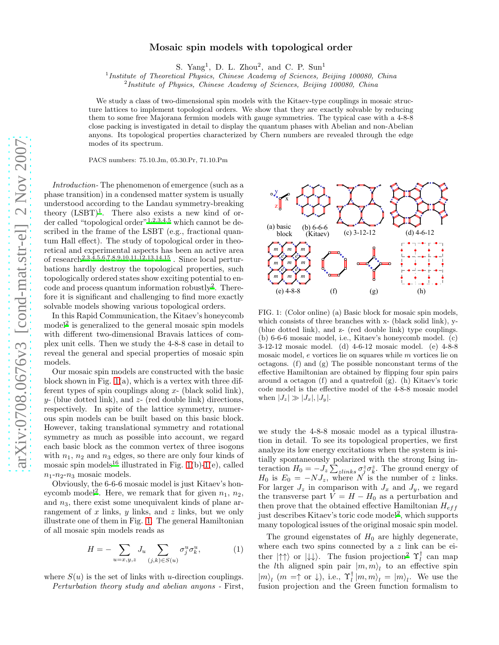## Mosaic spin models with topological order

S. Yang<sup>1</sup>, D. L. Zhou<sup>2</sup>, and C. P. Sun<sup>1</sup>

<sup>1</sup> Institute of Theoretical Physics, Chinese Academy of Sciences, Beijing 100080, China

<sup>2</sup>Institute of Physics, Chinese Academy of Sciences, Beijing 100080, China

We study a class of two-dimensional spin models with the Kitaev-type couplings in mosaic structure lattices to implement topological orders. We show that they are exactly solvable by reducing them to some free Majorana fermion models with gauge symmetries. The typical case with a 4-8-8 close packing is investigated in detail to display the quantum phases with Abelian and non-Abelian anyons. Its topological properties characterized by Chern numbers are revealed through the edge modes of its spectrum.

PACS numbers: 75.10.Jm, 05.30.Pr, 71.10.Pm

Introduction- The phenomenon of emergence (such as a phase transition) in a condensed matter system is usually understood according to the Landau symmetry-breaking theory  $(LSBT)^1$  $(LSBT)^1$ . There also exists a new kind of order called "topological order"[1](#page-3-0)[,2](#page-3-1)[,3](#page-3-2)[,4](#page-3-3)[,5](#page-3-4) which cannot be described in the frame of the LSBT (e.g., fractional quantum Hall effect). The study of topological order in theoretical and experimental aspects has been an active area of research[2](#page-3-1)[,3](#page-3-2)[,4](#page-3-3)[,5](#page-3-4)[,6](#page-3-5)[,7](#page-3-6)[,8](#page-3-7)[,9](#page-3-8)[,10](#page-3-9)[,11](#page-3-10)[,12](#page-3-11)[,13](#page-3-12)[,14](#page-3-13)[,15](#page-3-14) . Since local perturbations hardly destroy the topological properties, such topologically ordered states show exciting potential to encode and process quantum information robustly[2](#page-3-1) . Therefore it is significant and challenging to find more exactly solvable models showing various topological orders.

In this Rapid Communication, the Kitaev's honeycomb model<sup>[2](#page-3-1)</sup> is generalized to the general mosaic spin models with different two-dimensional Bravais lattices of complex unit cells. Then we study the 4-8-8 case in detail to reveal the general and special properties of mosaic spin models.

Our mosaic spin models are constructed with the basic block shown in Fig. [1\(](#page-0-0)a), which is a vertex with three different types of spin couplings along  $x$ - (black solid link),  $y$ - (blue dotted link), and  $z$ - (red double link) directions, respectively. In spite of the lattice symmetry, numerous spin models can be built based on this basic block. However, taking translational symmetry and rotational symmetry as much as possible into account, we regard each basic block as the common vertex of three isogons with  $n_1$ ,  $n_2$  and  $n_3$  edges, so there are only four kinds of mosaic spin models<sup>[16](#page-3-15)</sup> illustrated in Fig. [1\(](#page-0-0)b)[-1\(](#page-0-0)e), called  $n_1$ - $n_2$ - $n_3$  mosaic models.

Obviously, the 6-6-6 mosaic model is just Kitaev's hon-eycomb model<sup>[2](#page-3-1)</sup>. Here, we remark that for given  $n_1$ ,  $n_2$ , and  $n_3$ , there exist some unequivalent kinds of plane arrangement of  $x$  links,  $y$  links, and  $z$  links, but we only illustrate one of them in Fig. [1.](#page-0-0) The general Hamiltonian of all mosaic spin models reads as

<span id="page-0-1"></span>
$$
H = -\sum_{u=x,y,z} J_u \sum_{(j,k)\in S(u)} \sigma_j^u \sigma_k^u, \tag{1}
$$

where  $S(u)$  is the set of links with u-direction couplings. Perturbation theory study and abelian anyons - First,

(b) 6-6-6 (c) 3-12-12 (e) 4-8-8  $(d)$  4-6-12 (a) basic (Kitaev) (f) block *e e e e m m m m m m m m m* y x z (g) (h)

<span id="page-0-0"></span>FIG. 1: (Color online) (a) Basic block for mosaic spin models, which consists of three branches with x- (black solid link), y- (blue dotted link), and z- (red double link) type couplings. (b) 6-6-6 mosaic model, i.e., Kitaev's honeycomb model. (c) 3-12-12 mosaic model. (d) 4-6-12 mosaic model. (e) 4-8-8 mosaic model, e vortices lie on squares while m vortices lie on octagons. (f) and (g) The possible nonconstant terms of the effective Hamiltonian are obtained by flipping four spin pairs around a octagon (f) and a quatrefoil (g). (h) Kitaev's toric code model is the effective model of the 4-8-8 mosaic model when  $|J_z| \gg |J_x|, |J_y|$ .

we study the 4-8-8 mosaic model as a typical illustration in detail. To see its topological properties, we first analyze its low energy excitations when the system is initially spontaneously polarized with the strong Ising interaction  $H_0 = -J_z \sum_{zlinks} \sigma_j^z \sigma_k^z$ . The ground energy of  $H_0$  is  $E_0 = -NJ_z$ , where N is the number of z links. For larger  $J_z$  in comparison with  $J_x$  and  $J_y$ , we regard the transverse part  $V = H - H_0$  as a perturbation and then prove that the obtained effective Hamiltonian  $H_{eff}$ just describes Kitaev's toric code model<sup>[2](#page-3-1)</sup>, which supports many topological issues of the original mosaic spin model.

The ground eigenstates of  $H_0$  are highly degenerate, where each two spins connected by a z link can be either  $|\uparrow\uparrow\rangle$  or  $|\downarrow\downarrow\rangle$ . The fusion projection<sup>[2](#page-3-1)</sup>  $\Upsilon_l^{\dagger}$  can map the *l*th aligned spin pair  $|m,m\rangle_l$  to an effective spin  $|m\rangle_l$  (m =  $\uparrow$  or  $\downarrow$ ), i.e.,  $\Upsilon_l^{\dagger} |m, m\rangle_l = |m\rangle_l$ . We use the fusion projection and the Green function formalism to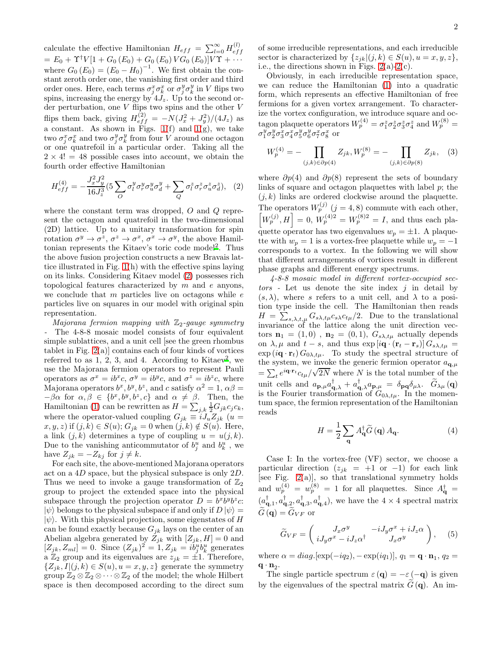calculate the effective Hamiltonian  $H_{eff} = \sum_{l=0}^{\infty} H_{ef}^{(l)}$ ef f  $= E_0 + \Upsilon^{\dagger} V [1 + G_0 (E_0) + G_0 (E_0) V G_0 (E_0)] V \Upsilon + \cdots$ where  $G_0(E_0) = (E_0 - H_0)^{-1}$ . We first obtain the constant zeroth order one, the vanishing first order and third order ones. Here, each terms  $\sigma^x_j \sigma^x_k$  or  $\sigma^y_j \sigma^y_k$  in V flips two spins, increasing the energy by  $4J_z$ . Up to the second order perturbation, one  $V$  flips two spins and the other  $V$ flips them back, giving  $H_{eff}^{(2)} = -N(J_x^2 + J_y^2)/(4J_z)$  as a constant. As shown in Figs.  $1(f)$  and  $1(g)$ , we take two  $\sigma_j^x \sigma_k^x$  and two  $\sigma_j^y \sigma_k^y$  from four V around one octagon or one quatrefoil in a particular order. Taking all the  $2 \times 4! = 48$  possible cases into account, we obtain the fourth order effective Hamiltonian

<span id="page-1-0"></span>
$$
H_{eff}^{(4)} = -\frac{J_x^2 J_y^2}{16 J_z^3} (5 \sum_O \sigma_l^y \sigma_r^y \sigma_u^y \sigma_d^y + \sum_Q \sigma_l^z \sigma_r^z \sigma_u^z \sigma_d^z), \quad (2)
$$

where the constant term was dropped, O and Q represent the octagon and quatrefoil in the two-dimensional (2D) lattice. Up to a unitary transformation for spin rotation  $\sigma^y \to \sigma^z$ ,  $\sigma^z \to \sigma^x$ ,  $\sigma^x \to \sigma^y$ , the above Hamil-tonian represents the Kitaev's toric code model<sup>[2](#page-3-1)</sup>. Thus the above fusion projection constructs a new Bravais lattice illustrated in Fig. [1\(](#page-0-0)h) with the effective spins laying on its links. Considering Kitaev model [\(2\)](#page-1-0) possesses rich topological features characterized by  $m$  and  $e$  anyons, we conclude that  $m$  particles live on octagons while  $e$ particles live on squares in our model with original spin representation.

Majorana fermion mapping with  $\mathbb{Z}_2$ -gauge symmetry - The 4-8-8 mosaic model consists of four equivalent simple sublattices, and a unit cell [see the green rhombus tablet in Fig.  $2(a)$  contains each of four kinds of vortices referred to as  $1, 2, 3$ , and 4. According to Kitae[v](#page-3-1)<sup>2</sup>, we use the Majorana fermion operators to represent Pauli operators as  $\sigma^x = ib^x c$ ,  $\sigma^y = ib^y c$ , and  $\sigma^z = ib^z c$ , where Majorana operators  $b^x, b^y, b^z$ , and c satisfy  $\alpha^2 = 1$ ,  $\alpha\beta =$  $-\beta\alpha$  for  $\alpha, \beta \in \{b^x, b^y, b^z, c\}$  and  $\alpha \neq \beta$ . Then, the Hamiltonian [\(1\)](#page-0-1) can be rewritten as  $H = \sum_{j,k} \frac{1}{2} G_{jk} c_j c_k$ , where the operator-valued coupling  $G_{jk} \equiv iJ_u Z_{jk}$  (u =  $x, y, z$ ) if  $(j, k) \in S(u)$ ;  $G_{jk} = 0$  when  $(j, k) \notin S(u)$ . Here, a link  $(j, k)$  determines a type of coupling  $u = u(j, k)$ . Due to the vanishing anticommutator of  $b_j^u$  and  $b_k^u$ , we have  $Z_{jk} = -Z_{kj}$  for  $j \neq k$ .

For each site, the above-mentioned Majorana operators act on a 4D space, but the physical subspace is only 2D. Thus we need to invoke a gauge transformation of  $\mathbb{Z}_2$ group to project the extended space into the physical subspace through the projection operator  $D = b^x b^y b^z c$ :  $|\psi\rangle$  belongs to the physical subspace if and only if  $D |\psi\rangle =$  $|\psi\rangle$ . With this physical projection, some eigenstates of H can be found exactly because  $G_{ik}$  lays on the center of an Abelian algebra generated by  $Z_{jk}$  with  $[Z_{jk}, H] = 0$  and  $[Z_{jk}, Z_{ml}] = 0$ . Since  $(Z_{jk})^2 = 1, Z_{jk} = ib_j^u b_k^u$  generates a  $\mathbb{Z}_2$  group and its eigenvalues are  $z_{jk} = \pm 1$ . Therefore,  ${Z_{ik}, I|(j,k) \in S(u), u = x, y, z}$  generate the symmetry group  $\mathbb{Z}_2 \otimes \mathbb{Z}_2 \otimes \cdots \otimes \mathbb{Z}_2$  of the model; the whole Hilbert space is then decomposed according to the direct sum

of some irreducible representations, and each irreducible sector is characterized by  $\{z_{ik}|(j,k)\in S(u), u=x,y,z\},\$ i.e., the directions shown in Figs.  $2(a)-2(c)$  $2(a)-2(c)$  $2(a)-2(c)$ .

Obviously, in each irreducible representation space, we can reduce the Hamiltonian [\(1\)](#page-0-1) into a quadratic form, which represents an effective Hamiltonian of free fermions for a given vortex arrangement. To characterize the vortex configuration, we introduce square and octagon plaquette operators  $W_p^{(4)} = \sigma_1^z \sigma_2^z \sigma_3^z \sigma_4^z$  and  $W_p^{(8)} =$ σ<sup>y</sup> σ<sup>y</sup> σ<sup>x</sup><sub>3</sub>σ<sup>x</sup><sub>4</sub>σ<sup>y</sup><sub>5</sub>σ<sup>y</sup><sub>6</sub>σ<sup>x</sup><sub>7</sub>σ<sup>x</sup><sub>8</sub> or

$$
W_p^{(4)} = -\prod_{(j,k)\in\partial p(4)} Z_{jk}, W_p^{(8)} = -\prod_{(j,k)\in\partial p(8)} Z_{jk}, \quad (3)
$$

where  $\partial p(4)$  and  $\partial p(8)$  represent the sets of boundary links of square and octagon plaquettes with label  $p$ ; the  $(j, k)$  links are ordered clockwise around the plaquette. The operators  $W_p^{(j)}$   $(j = 4, 8)$  commute with each other,  $W_p^{(j)}$ ,  $H$  = 0,  $W_p^{(4)2} = W_p^{(8)2} = I$ , and thus each plaquette operator has two eigenvalues  $w_p = \pm 1$ . A plaquette with  $w_p = 1$  is a vortex-free plaquette while  $w_p = -1$ corresponds to a vortex. In the following we will show that different arrangements of vortices result in different phase graphs and different energy spectrums.

4-8-8 mosaic model in different vortex-occupied sec $tors$  - Let us denote the site index  $i$  in detail by  $(s, \lambda)$ , where s refers to a unit cell, and  $\lambda$  to a position type inside the cell. The Hamiltonian then reads  $H = \sum_{s,\lambda,t,\mu} G_{s\lambda,t\mu} c_{s\lambda} c_{t\mu}/2$ . Due to the translational invariance of the lattice along the unit direction vectors  $\mathbf{n}_1 = (1,0)$ ,  $\mathbf{n}_2 = (0,1)$ ,  $G_{s\lambda,t\mu}$  actually depends on  $\lambda, \mu$  and  $t - s$ , and thus  $\exp[i\mathbf{q} \cdot (\mathbf{r}_t - \mathbf{r}_s)] G_{s\lambda, t\mu}$  =  $\exp(i\mathbf{q}\cdot\mathbf{r}_t) G_{0\lambda,t\mu}$ . To study the spectral structure of the system, we invoke the generic fermion operator  $a_{\mathbf{q},\mu}$  $=\sum_{t} e^{i\mathbf{q}\cdot\mathbf{r}_{t}} c_{t\mu}/\sqrt{2N}$  where N is the total number of the unit cells and  $a_{\mathbf{p},\mu}a_{\mathbf{q},\lambda}^{\dagger} + a_{\mathbf{q},\lambda}^{\dagger}a_{\mathbf{p},\mu} = \delta_{\mathbf{p}\mathbf{q}}\delta_{\mu\lambda}$ .  $\widetilde{G}_{\lambda\mu}(\mathbf{q})$ is the Fourier transformation of  $G_{0\lambda,t\mu}$ . In the momentum space, the fermion representation of the Hamiltonian reads

$$
H = \frac{1}{2} \sum_{\mathbf{q}} A_{\mathbf{q}}^{\dagger} \widetilde{G}(\mathbf{q}) A_{\mathbf{q}}.
$$
 (4)

Case I: In the vortex-free (VF) sector, we choose a particular direction  $(z_{jk} = +1 \text{ or } -1)$  for each link [see Fig.  $2(a)$ ], so that translational symmetry holds and  $w_p^{(4)} = w_p^{(8)} = 1$  for all plaquettes. Since  $A_{\mathbf{q}}^{\dagger} =$  $(a_{\mathbf{q},1}^{\dagger}, a_{\mathbf{q},2}^{\dagger}, a_{\mathbf{q},3}^{\dagger}, a_{\mathbf{q},4}^{\dagger}),$  we have the  $4 \times 4$  spectral matrix  $\widetilde{G}(\mathbf{q}) = \widetilde{G}_{VF}$  or

$$
\widetilde{G}_{VF} = \begin{pmatrix} J_x \sigma^y & -iJ_y \sigma^x + iJ_z \alpha \\ iJ_y \sigma^x - iJ_z \alpha^\dagger & J_x \sigma^y \end{pmatrix}, \quad (5)
$$

where  $\alpha = diag.[exp(-iq_2), -exp(iq_1)], q_1 = \mathbf{q} \cdot \mathbf{n}_1, q_2 =$  $\mathbf{q} \cdot \mathbf{n}_2$ .

The single particle spectrum  $\varepsilon(\mathbf{q}) = -\varepsilon(-\mathbf{q})$  is given by the eigenvalues of the spectral matrix  $\tilde{G}(\mathbf{q})$ . An im-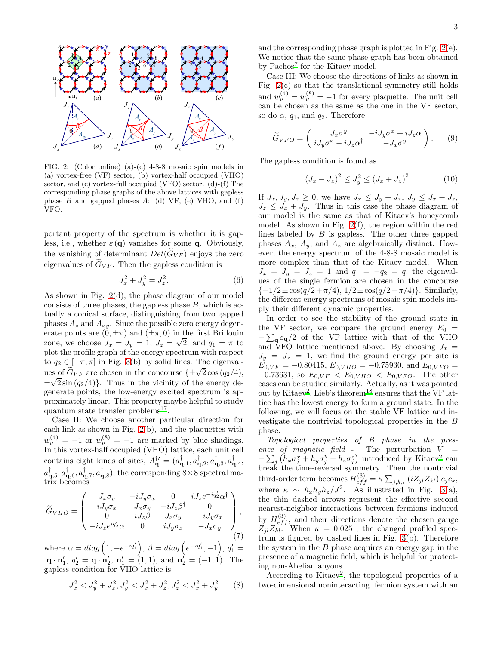

<span id="page-2-0"></span>FIG. 2: (Color online) (a)-(c) 4-8-8 mosaic spin models in (a) vortex-free (VF) sector, (b) vortex-half occupied (VHO) sector, and (c) vortex-full occupied (VFO) sector. (d)-(f) The corresponding phase graphs of the above lattices with gapless phase  $B$  and gapped phases  $A: (d) VF, (e) VHO, and (f)$ VFO.

portant property of the spectrum is whether it is gapless, i.e., whether  $\varepsilon(\mathbf{q})$  vanishes for some **q**. Obviously, the vanishing of determinant  $Det(G_{VF})$  enjoys the zero eigenvalues of  $\widetilde{G}_{VF}$ . Then the gapless condition is

$$
J_x^2 + J_y^2 = J_z^2.
$$
 (6)

As shown in Fig. [2\(](#page-2-0)d), the phase diagram of our model consists of three phases, the gapless phase  $B$ , which is actually a conical surface, distinguishing from two gapped phases  $A_z$  and  $A_{xy}$ . Since the possible zero energy degenerate points are  $(0, \pm \pi)$  and  $(\pm \pi, 0)$  in the first Brillouin zone, we choose  $J_x = J_y = 1$ ,  $J_z = \sqrt{2}$ , and  $q_1 = \pi$  to plot the profile graph of the energy spectrum with respect to  $q_2 \in [-\pi, \pi]$  in Fig. [3\(](#page-3-16)b) by solid lines. The eigenvalues of  $\tilde{G}_{VF}$  are chosen in the concourse  $\{\pm\sqrt{2}\cos(q_2/4),\}$ ±  $\sqrt{2} \sin (q_2/4)$ . Thus in the vicinity of the energy degenerate points, the low-energy excited spectrum is approximately linear. This property maybe helpful to study quantum state transfer problems<sup>[17](#page-3-17)</sup>.

Case II: We choose another particular direction for each link as shown in Fig. [2\(](#page-2-0)b), and the plaquettes with  $w_p^{(4)} = -1$  or  $w_p^{(8)} = -1$  are marked by blue shadings. In this vortex-half occupied (VHO) lattice, each unit cell contains eight kinds of sites,  $A_{\mathbf{q}}^{\dagger\prime} = (a_{\mathbf{q},1}^{\dagger}, a_{\mathbf{q},2}^{\dagger}, a_{\mathbf{q},3}^{\dagger}, a_{\mathbf{q},4}^{\dagger})$  $a_{\bf q,5}^{\dagger}, a_{\bf q,6}^{\dagger}, a_{\bf q,7}^{\dagger}, a_{\bf q,8}^{\dagger}$ , the corresponding  $8\times 8$  spectral matrix becomes

$$
\widetilde{G}_{VHO} = \begin{pmatrix}\nJ_x \sigma_y & -iJ_y \sigma_x & 0 & iJ_z e^{-i q'_2} \alpha^{\dagger} \\
iJ_y \sigma_x & J_x \sigma_y & -iJ_z \beta^{\dagger} & 0 \\
0 & iJ_z \beta & J_x \sigma_y & -iJ_y \sigma_x \\
-iJ_z e^{i q'_2} \alpha & 0 & iJ_y \sigma_x & -J_x \sigma_y\n\end{pmatrix},
$$
\n(7)

where  $\alpha = diag\left(1, -e^{-iq'_1}\right)$ ,  $\beta = diag\left(e^{-iq'_1}, -1\right)$ ,  $q'_1 =$  $\mathbf{q} \cdot \mathbf{n}'_1, q'_2 = \mathbf{q} \cdot \mathbf{n}'_2, \mathbf{n}'_1 = (1, 1), \text{ and } \mathbf{n}'_2 = (-1, 1).$  The gapless condition for VHO lattice is

$$
J_x^2 < J_y^2 + J_z^2, J_y^2 < J_x^2 + J_z^2, J_z^2 < J_x^2 + J_y^2 \tag{8}
$$

and the corresponding phase graph is plotted in Fig. [2\(](#page-2-0)e). We notice that the same phase graph has been obtained by Pachos<sup>[7](#page-3-6)</sup> for the Kitaev model.

Case III: We choose the directions of links as shown in Fig.  $2(c)$  so that the translational symmetry still holds and  $w_p^{(4)} = w_p^{(8)} = -1$  for every plaquette. The unit cell can be chosen as the same as the one in the VF sector, so do  $\alpha$ ,  $q_1$ , and  $q_2$ . Therefore

$$
\widetilde{G}_{VFO} = \begin{pmatrix} J_x \sigma^y & -iJ_y \sigma^x + iJ_z \alpha \\ iJ_y \sigma^x - iJ_z \alpha^\dagger & -J_x \sigma^y \end{pmatrix} . \tag{9}
$$

The gapless condition is found as

$$
(J_x - J_z)^2 \le J_y^2 \le (J_x + J_z)^2. \tag{10}
$$

If  $J_x, J_y, J_z \geq 0$ , we have  $J_x \leq J_y + J_z, J_y \leq J_x + J_z$ ,  $J_z \leq J_x + J_y$ . Thus in this case the phase diagram of our model is the same as that of Kitaev's honeycomb model. As shown in Fig. [2\(](#page-2-0)f), the region within the red lines labeled by  $B$  is gapless. The other three gapped phases  $A_x$ ,  $A_y$ , and  $A_z$  are algebraically distinct. However, the energy spectrum of the 4-8-8 mosaic model is more complex than that of the Kitaev model. When  $J_x = J_y = J_z = 1$  and  $q_1 = -q_2 = q$ , the eigenvalues of the single fermion are chosen in the concourse  ${-1/2 \pm \cos(q/2 + \pi/4), 1/2 \pm \cos(q/2 - \pi/4)}.$  Similarly, the different energy spectrums of mosaic spin models imply their different dynamic properties.

In order to see the stability of the ground state in the VF sector, we compare the ground energy  $E_0 =$  $-\sum_{\mathbf{g}} \varepsilon_{\mathbf{g}}/2$  of the VF lattice with that of the VHO and VFO lattice mentioned above. By choosing  $J_x$  =  $J_y = J_z = 1$ , we find the ground energy per site is  $E_{0,VF} = -0.80415, E_{0,VHO} = -0.75930, \text{ and } E_{0,VFO} =$  $-0.73631$ , so  $E_{0,VF} < E_{0,VHO} < E_{0,VFO}$ . The other cases can be studied similarly. Actually, as it was pointed out by Kitaev<sup>[2](#page-3-1)</sup>, Lieb's theorem<sup>[18](#page-3-18)</sup> ensures that the VF lattice has the lowest energy to form a ground state. In the following, we will focus on the stable VF lattice and investigate the nontrivial topological properties in the B phase.

Topological properties of B phase in the presence of magnetic field - The perturbation  $V =$  $-\sum_j (h_x \sigma_j^x + h_y \sigma_j^y + h_z \sigma_j^z)$  introduced by Kitaev<sup>[2](#page-3-1)</sup> can break the time-reversal symmetry. Then the nontrivial third-order term becomes  $H_{eff}^{(3)} = \kappa \sum_{j,k,l} (i Z_{jl} Z_{kl}) c_j c_k$ , where  $\kappa \sim h_x h_y h_z / J^2$ . As illustrated in Fig. [3\(](#page-3-16)a), the thin dashed arrows represent the effective second nearest-neighbor interactions between fermions induced by  $H_{eff}^{(3)}$ , and their directions denote the chosen gauge  $Z_{jl}Z_{kl}$ . When  $\kappa = 0.025$ , the changed profiled spectrum is figured by dashed lines in Fig. [3\(](#page-3-16)b). Therefore the system in the  $B$  phase acquires an energy gap in the presence of a magnetic field, which is helpful for protecting non-Abelian anyons.

According to Kitaev<sup>[2](#page-3-1)</sup>, the topological properties of a two-dimensional noninteracting fermion system with an